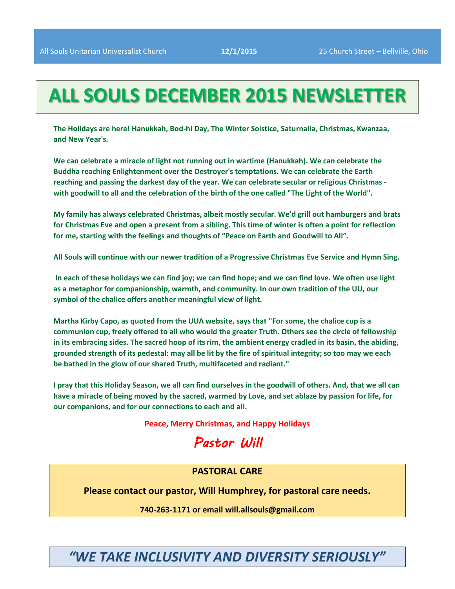# **ALL SOULS DECEMBER 2015 NEWSLETTER**

**The Holidays are here! Hanukkah, Bod-hi Day, The Winter Solstice, Saturnalia, Christmas, Kwanzaa, and New Year's.** 

**We can celebrate a miracle of light not running out in wartime (Hanukkah). We can celebrate the Buddha reaching Enlightenment over the Destroyer's temptations. We can celebrate the Earth reaching and passing the darkest day of the year. We can celebrate secular or religious Christmas with goodwill to all and the celebration of the birth of the one called "The Light of the World".**

**My family has always celebrated Christmas, albeit mostly secular. We'd grill out hamburgers and brats for Christmas Eve and open a present from a sibling. This time of winter is often a point for reflection for me, starting with the feelings and thoughts of "Peace on Earth and Goodwill to All".** 

**All Souls will continue with our newer tradition of a Progressive Christmas Eve Service and Hymn Sing.**

**In each of these holidays we can find joy; we can find hope; and we can find love. We often use light as a metaphor for companionship, warmth, and community. In our own tradition of the UU, our symbol of the chalice offers another meaningful view of light.**

**Martha Kirby Capo, as quoted from the UUA website, says that "For some, the chalice cup is a communion cup, freely offered to all who would the greater Truth. Others see the circle of fellowship in its embracing sides. The sacred hoop of its rim, the ambient energy cradled in its basin, the abiding, grounded strength of its pedestal: may all be lit by the fire of spiritual integrity; so too may we each be bathed in the glow of our shared Truth, multifaceted and radiant."**

**I pray that this Holiday Season, we all can find ourselves in the goodwill of others. And, that we all can have a miracle of being moved by the sacred, warmed by Love, and set ablaze by passion for life, for our companions, and for our connections to each and all.**

**Peace, Merry Christmas, and Happy Holidays**

# *Pastor Will*

## **PASTORAL CARE**

**Please contact our pastor, Will Humphrey, for pastoral care needs.**

**740-263-1171 or email will.allsouls@gmail.com**

*"WE TAKE INCLUSIVITY AND DIVERSITY SERIOUSLY"*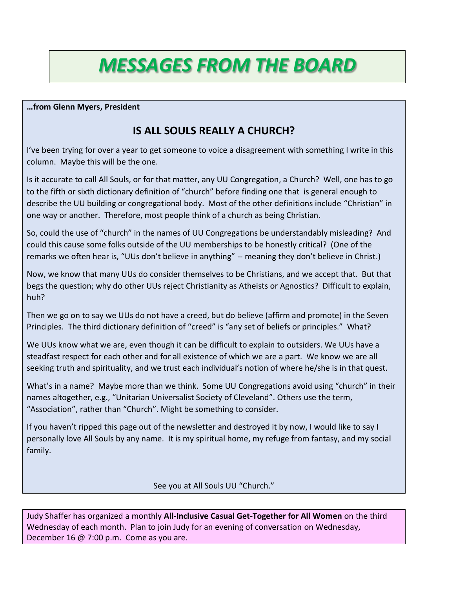# *MESSAGES FROM THE BOARD*

**…from Glenn Myers, President**

## **IS ALL SOULS REALLY A CHURCH?**

I've been trying for over a year to get someone to voice a disagreement with something I write in this column. Maybe this will be the one.

Is it accurate to call All Souls, or for that matter, any UU Congregation, a Church? Well, one has to go to the fifth or sixth dictionary definition of "church" before finding one that is general enough to describe the UU building or congregational body. Most of the other definitions include "Christian" in one way or another. Therefore, most people think of a church as being Christian.

So, could the use of "church" in the names of UU Congregations be understandably misleading? And could this cause some folks outside of the UU memberships to be honestly critical? (One of the remarks we often hear is, "UUs don't believe in anything" -- meaning they don't believe in Christ.)

Now, we know that many UUs do consider themselves to be Christians, and we accept that. But that begs the question; why do other UUs reject Christianity as Atheists or Agnostics? Difficult to explain, huh?

Then we go on to say we UUs do not have a creed, but do believe (affirm and promote) in the Seven Principles. The third dictionary definition of "creed" is "any set of beliefs or principles." What?

We UUs know what we are, even though it can be difficult to explain to outsiders. We UUs have a steadfast respect for each other and for all existence of which we are a part. We know we are all seeking truth and spirituality, and we trust each individual's notion of where he/she is in that quest.

What's in a name? Maybe more than we think. Some UU Congregations avoid using "church" in their names altogether, e.g., "Unitarian Universalist Society of Cleveland". Others use the term, "Association", rather than "Church". Might be something to consider.

If you haven't ripped this page out of the newsletter and destroyed it by now, I would like to say I personally love All Souls by any name. It is my spiritual home, my refuge from fantasy, and my social family.

See you at All Souls UU "Church."

Judy Shaffer has organized a monthly **All-Inclusive Casual Get-Together for All Women** on the third Wednesday of each month. Plan to join Judy for an evening of conversation on Wednesday, December 16 @ 7:00 p.m. Come as you are.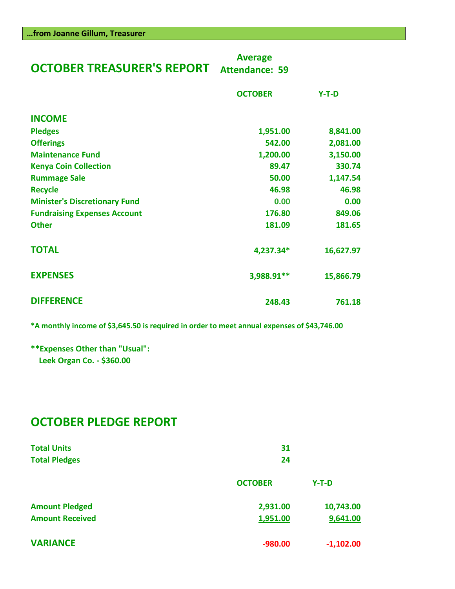| <b>OCTOBER TREASURER'S REPORT</b>    | <b>Average</b><br><b>Attendance: 59</b> |           |
|--------------------------------------|-----------------------------------------|-----------|
|                                      | <b>OCTOBER</b>                          | $Y-T-D$   |
| <b>INCOME</b>                        |                                         |           |
| <b>Pledges</b>                       | 1,951.00                                | 8,841.00  |
| <b>Offerings</b>                     | 542.00                                  | 2,081.00  |
| <b>Maintenance Fund</b>              | 1,200.00                                | 3,150.00  |
| <b>Kenya Coin Collection</b>         | 89.47                                   | 330.74    |
| <b>Rummage Sale</b>                  | 50.00                                   | 1,147.54  |
| <b>Recycle</b>                       | 46.98                                   | 46.98     |
| <b>Minister's Discretionary Fund</b> | 0.00                                    | 0.00      |
| <b>Fundraising Expenses Account</b>  | 176.80                                  | 849.06    |
| <b>Other</b>                         | 181.09                                  | 181.65    |
| <b>TOTAL</b>                         | 4,237.34*                               | 16,627.97 |
| <b>EXPENSES</b>                      | 3,988.91**                              | 15,866.79 |
|                                      |                                         |           |

**\*A monthly income of \$3,645.50 is required in order to meet annual expenses of \$43,746.00**

**DIFFERENCE 248.43 761.18**

**\*\*Expenses Other than "Usual": Leek Organ Co. - \$360.00**

## **OCTOBER PLEDGE REPORT**

| <b>Total Units</b><br><b>Total Pledges</b> | 31<br>24       |             |  |  |
|--------------------------------------------|----------------|-------------|--|--|
|                                            | <b>OCTOBER</b> | $Y-T-D$     |  |  |
| <b>Amount Pledged</b>                      | 2,931.00       | 10,743.00   |  |  |
| <b>Amount Received</b>                     | 1,951.00       | 9,641.00    |  |  |
| <b>VARIANCE</b>                            | $-980.00$      | $-1,102.00$ |  |  |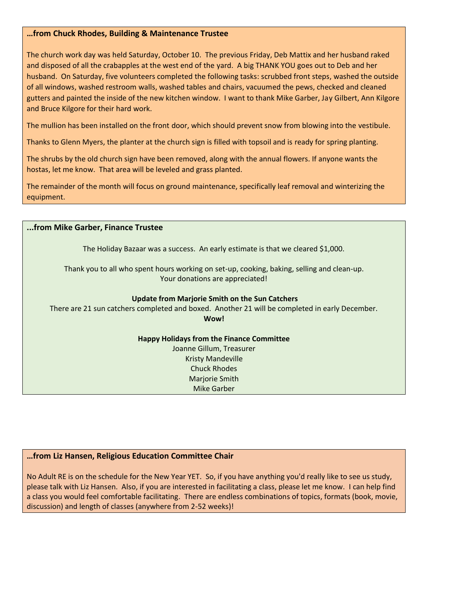## **…from Chuck Rhodes, Building & Maintenance Trustee**

The church work day was held Saturday, October 10. The previous Friday, Deb Mattix and her husband raked and disposed of all the crabapples at the west end of the yard. A big THANK YOU goes out to Deb and her husband. On Saturday, five volunteers completed the following tasks: scrubbed front steps, washed the outside of all windows, washed restroom walls, washed tables and chairs, vacuumed the pews, checked and cleaned gutters and painted the inside of the new kitchen window. I want to thank Mike Garber, Jay Gilbert, Ann Kilgore and Bruce Kilgore for their hard work.

The mullion has been installed on the front door, which should prevent snow from blowing into the vestibule.

Thanks to Glenn Myers, the planter at the church sign is filled with topsoil and is ready for spring planting.

The shrubs by the old church sign have been removed, along with the annual flowers. If anyone wants the hostas, let me know. That area will be leveled and grass planted.

The remainder of the month will focus on ground maintenance, specifically leaf removal and winterizing the equipment.

| from Mike Garber, Finance Trustee                                                                                             |  |  |
|-------------------------------------------------------------------------------------------------------------------------------|--|--|
| The Holiday Bazaar was a success. An early estimate is that we cleared \$1,000.                                               |  |  |
| Thank you to all who spent hours working on set-up, cooking, baking, selling and clean-up.<br>Your donations are appreciated! |  |  |
| Update from Marjorie Smith on the Sun Catchers                                                                                |  |  |
| There are 21 sun catchers completed and boxed. Another 21 will be completed in early December.<br>Wow!                        |  |  |
| <b>Happy Holidays from the Finance Committee</b>                                                                              |  |  |
| Joanne Gillum, Treasurer                                                                                                      |  |  |
| <b>Kristy Mandeville</b>                                                                                                      |  |  |
| <b>Chuck Rhodes</b>                                                                                                           |  |  |
| Marjorie Smith                                                                                                                |  |  |
| <b>Mike Garber</b>                                                                                                            |  |  |

## **…from Liz Hansen, Religious Education Committee Chair**

No Adult RE is on the schedule for the New Year YET. So, if you have anything you'd really like to see us study, please talk with Liz Hansen. Also, if you are interested in facilitating a class, please let me know. I can help find a class you would feel comfortable facilitating. There are endless combinations of topics, formats (book, movie, discussion) and length of classes (anywhere from 2-52 weeks)!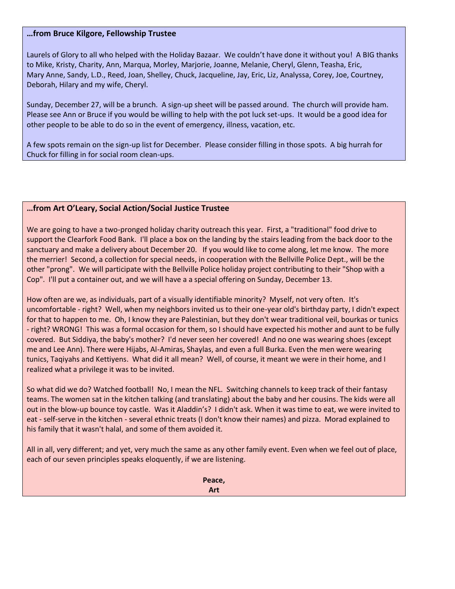## **…from Bruce Kilgore, Fellowship Trustee**

Laurels of Glory to all who helped with the Holiday Bazaar. We couldn't have done it without you! A BIG thanks to Mike, Kristy, Charity, Ann, Marqua, Morley, Marjorie, Joanne, Melanie, Cheryl, Glenn, Teasha, Eric, Mary Anne, Sandy, L.D., Reed, Joan, Shelley, Chuck, Jacqueline, Jay, Eric, Liz, Analyssa, Corey, Joe, Courtney, Deborah, Hilary and my wife, Cheryl.

Sunday, December 27, will be a brunch. A sign-up sheet will be passed around. The church will provide ham. Please see Ann or Bruce if you would be willing to help with the pot luck set-ups. It would be a good idea for other people to be able to do so in the event of emergency, illness, vacation, etc.

A few spots remain on the sign-up list for December. Please consider filling in those spots. A big hurrah for Chuck for filling in for social room clean-ups.

## **…from Art O'Leary, Social Action/Social Justice Trustee**

We are going to have a two-pronged holiday charity outreach this year. First, a "traditional" food drive to support the Clearfork Food Bank. I'll place a box on the landing by the stairs leading from the back door to the sanctuary and make a delivery about December 20. If you would like to come along, let me know. The more the merrier! Second, a collection for special needs, in cooperation with the Bellville Police Dept., will be the other "prong". We will participate with the Bellville Police holiday project contributing to their "Shop with a Cop". I'll put a container out, and we will have a a special offering on Sunday, December 13.

How often are we, as individuals, part of a visually identifiable minority? Myself, not very often. It's uncomfortable - right? Well, when my neighbors invited us to their one-year old's birthday party, I didn't expect for that to happen to me. Oh, I know they are Palestinian, but they don't wear traditional veil, bourkas or tunics - right? WRONG! This was a formal occasion for them, so I should have expected his mother and aunt to be fully covered. But Siddiya, the baby's mother? I'd never seen her covered! And no one was wearing shoes (except me and Lee Ann). There were Hijabs, Al-Amiras, Shaylas, and even a full Burka. Even the men were wearing tunics, Taqiyahs and Kettiyens. What did it all mean? Well, of course, it meant we were in their home, and I realized what a privilege it was to be invited.

So what did we do? Watched football! No, I mean the NFL. Switching channels to keep track of their fantasy teams. The women sat in the kitchen talking (and translating) about the baby and her cousins. The kids were all out in the blow-up bounce toy castle. Was it Aladdin's? I didn't ask. When it was time to eat, we were invited to eat - self-serve in the kitchen - several ethnic treats (I don't know their names) and pizza. Morad explained to his family that it wasn't halal, and some of them avoided it.

All in all, very different; and yet, very much the same as any other family event. Even when we feel out of place, each of our seven principles speaks eloquently, if we are listening.

> **Peace, Art**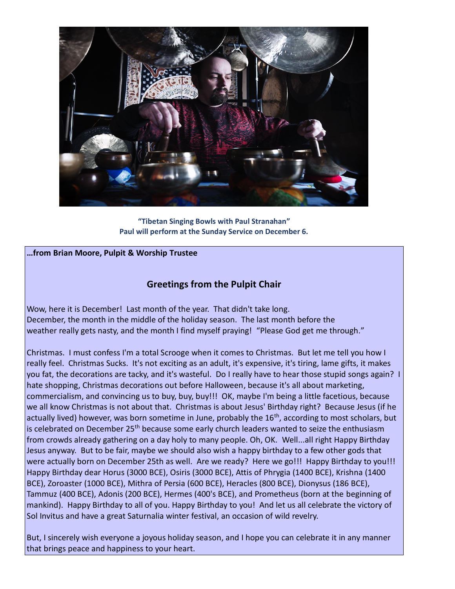

**"Tibetan Singing Bowls with Paul Stranahan" Paul will perform at the Sunday Service on December 6.**

## **…from Brian Moore, Pulpit & Worship Trustee**

## **Greetings from the Pulpit Chair**

Wow, here it is December! Last month of the year. That didn't take long. December, the month in the middle of the holiday season. The last month before the weather really gets nasty, and the month I find myself praying! "Please God get me through."

Christmas. I must confess I'm a total Scrooge when it comes to Christmas. But let me tell you how I really feel. Christmas Sucks. It's not exciting as an adult, it's expensive, it's tiring, lame gifts, it makes you fat, the decorations are tacky, and it's wasteful. Do I really have to hear those stupid songs again? I hate shopping, Christmas decorations out before Halloween, because it's all about marketing, commercialism, and convincing us to buy, buy, buy!!! OK, maybe I'm being a little facetious, because we all know Christmas is not about that. Christmas is about Jesus' Birthday right? Because Jesus (if he actually lived) however, was born sometime in June, probably the 16<sup>th</sup>, according to most scholars, but is celebrated on December 25<sup>th</sup> because some early church leaders wanted to seize the enthusiasm from crowds already gathering on a day holy to many people. Oh, OK. Well...all right Happy Birthday Jesus anyway. But to be fair, maybe we should also wish a happy birthday to a few other gods that were actually born on December 25th as well. Are we ready? Here we go!!! Happy Birthday to you!!! Happy Birthday dear Horus (3000 BCE), Osiris (3000 BCE), Attis of Phrygia (1400 BCE), Krishna (1400 BCE), Zoroaster (1000 BCE), Mithra of Persia (600 BCE), Heracles (800 BCE), Dionysus (186 BCE), Tammuz (400 BCE), Adonis (200 BCE), Hermes (400's BCE), and Prometheus (born at the beginning of mankind). Happy Birthday to all of you. Happy Birthday to you! And let us all celebrate the victory of Sol Invitus and have a great Saturnalia winter festival, an occasion of wild revelry.

But, I sincerely wish everyone a joyous holiday season, and I hope you can celebrate it in any manner that brings peace and happiness to your heart.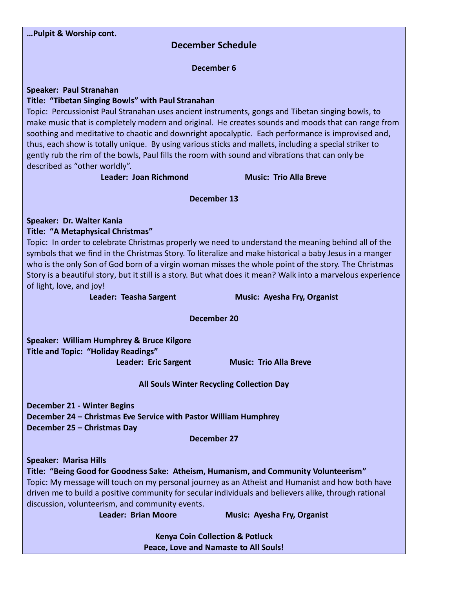| Pulpit & Worship cont.                                                                                                                                                                                    |                                    |  |  |
|-----------------------------------------------------------------------------------------------------------------------------------------------------------------------------------------------------------|------------------------------------|--|--|
| <b>December Schedule</b>                                                                                                                                                                                  |                                    |  |  |
|                                                                                                                                                                                                           |                                    |  |  |
| <b>December 6</b>                                                                                                                                                                                         |                                    |  |  |
| <b>Speaker: Paul Stranahan</b>                                                                                                                                                                            |                                    |  |  |
| Title: "Tibetan Singing Bowls" with Paul Stranahan                                                                                                                                                        |                                    |  |  |
| Topic: Percussionist Paul Stranahan uses ancient instruments, gongs and Tibetan singing bowls, to                                                                                                         |                                    |  |  |
| make music that is completely modern and original. He creates sounds and moods that can range from                                                                                                        |                                    |  |  |
| soothing and meditative to chaotic and downright apocalyptic. Each performance is improvised and,                                                                                                         |                                    |  |  |
| thus, each show is totally unique. By using various sticks and mallets, including a special striker to<br>gently rub the rim of the bowls, Paul fills the room with sound and vibrations that can only be |                                    |  |  |
| described as "other worldly".                                                                                                                                                                             |                                    |  |  |
| Leader: Joan Richmond                                                                                                                                                                                     | <b>Music: Trio Alla Breve</b>      |  |  |
|                                                                                                                                                                                                           |                                    |  |  |
| <b>December 13</b>                                                                                                                                                                                        |                                    |  |  |
| Speaker: Dr. Walter Kania                                                                                                                                                                                 |                                    |  |  |
| <b>Title: "A Metaphysical Christmas"</b>                                                                                                                                                                  |                                    |  |  |
| Topic: In order to celebrate Christmas properly we need to understand the meaning behind all of the                                                                                                       |                                    |  |  |
| symbols that we find in the Christmas Story. To literalize and make historical a baby Jesus in a manger                                                                                                   |                                    |  |  |
| who is the only Son of God born of a virgin woman misses the whole point of the story. The Christmas                                                                                                      |                                    |  |  |
| Story is a beautiful story, but it still is a story. But what does it mean? Walk into a marvelous experience                                                                                              |                                    |  |  |
| of light, love, and joy!<br>Leader: Teasha Sargent                                                                                                                                                        | <b>Music: Ayesha Fry, Organist</b> |  |  |
|                                                                                                                                                                                                           |                                    |  |  |
| <b>December 20</b>                                                                                                                                                                                        |                                    |  |  |
| Speaker: William Humphrey & Bruce Kilgore                                                                                                                                                                 |                                    |  |  |
| <b>Title and Topic: "Holiday Readings"</b>                                                                                                                                                                |                                    |  |  |
| Leader: Eric Sargent                                                                                                                                                                                      | <b>Music: Trio Alla Breve</b>      |  |  |
| All Souls Winter Recycling Collection Day                                                                                                                                                                 |                                    |  |  |
| <b>December 21 - Winter Begins</b>                                                                                                                                                                        |                                    |  |  |
| December 24 - Christmas Eve Service with Pastor William Humphrey                                                                                                                                          |                                    |  |  |
| December 25 - Christmas Day                                                                                                                                                                               |                                    |  |  |
| <b>December 27</b>                                                                                                                                                                                        |                                    |  |  |
| <b>Speaker: Marisa Hills</b>                                                                                                                                                                              |                                    |  |  |
| Title: "Being Good for Goodness Sake: Atheism, Humanism, and Community Volunteerism"                                                                                                                      |                                    |  |  |
| Topic: My message will touch on my personal journey as an Atheist and Humanist and how both have                                                                                                          |                                    |  |  |
| driven me to build a positive community for secular individuals and believers alike, through rational                                                                                                     |                                    |  |  |
| discussion, volunteerism, and community events.                                                                                                                                                           |                                    |  |  |
| <b>Leader: Brian Moore</b>                                                                                                                                                                                | <b>Music: Ayesha Fry, Organist</b> |  |  |
| <b>Kenya Coin Collection &amp; Potluck</b>                                                                                                                                                                |                                    |  |  |
| Peace, Love and Namaste to All Souls!                                                                                                                                                                     |                                    |  |  |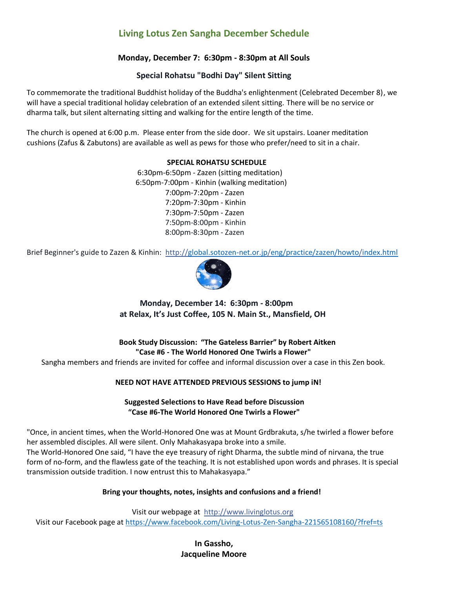## **Living Lotus Zen Sangha December Schedule**

## **Monday, December 7: 6:30pm - 8:30pm at All Souls**

## **Special Rohatsu "Bodhi Day" Silent Sitting**

To commemorate the traditional Buddhist holiday of the Buddha's enlightenment (Celebrated December 8), we will have a special traditional holiday celebration of an extended silent sitting. There will be no service or dharma talk, but silent alternating sitting and walking for the entire length of the time.

The church is opened at 6:00 p.m. Please enter from the side door. We sit upstairs. Loaner meditation cushions (Zafus & Zabutons) are available as well as pews for those who prefer/need to sit in a chair.

#### **SPECIAL ROHATSU SCHEDULE**

 6:30pm-6:50pm - Zazen (sitting meditation) 6:50pm-7:00pm - Kinhin (walking meditation) 7:00pm-7:20pm - Zazen 7:20pm-7:30pm - Kinhin 7:30pm-7:50pm - Zazen 7:50pm-8:00pm - Kinhin 8:00pm-8:30pm - Zazen

Brief Beginner's guide to Zazen & Kinhin:<http://global.sotozen-net.or.jp/eng/practice/zazen/howto/index.html>



 **Monday, December 14: 6:30pm - 8:00pm at Relax, It's Just Coffee, 105 N. Main St., Mansfield, OH**

 **Book Study Discussion: "The Gateless Barrier" by Robert Aitken "Case #6 - The World Honored One Twirls a Flower"**

Sangha members and friends are invited for coffee and informal discussion over a case in this Zen book.

## **NEED NOT HAVE ATTENDED PREVIOUS SESSIONS to jump iN!**

## **Suggested Selections to Have Read before Discussion "Case #6-The World Honored One Twirls a Flower"**

"Once, in ancient times, when the World-Honored One was at Mount Grdbrakuta, s/he twirled a flower before her assembled disciples. All were silent. Only Mahakasyapa broke into a smile. The World-Honored One said, "I have the eye treasury of right Dharma, the subtle mind of nirvana, the true form of no-form, and the flawless gate of the teaching. It is not established upon words and phrases. It is special transmission outside tradition. I now entrust this to Mahakasyapa."

## **Bring your thoughts, notes, insights and confusions and a friend!**

 Visit our webpage at [http://www.livinglotus.org](http://www.livinglotus.org/) Visit our Facebook page at <https://www.facebook.com/Living-Lotus-Zen-Sangha-221565108160/?fref=ts>

> **In Gassho, Jacqueline Moore**